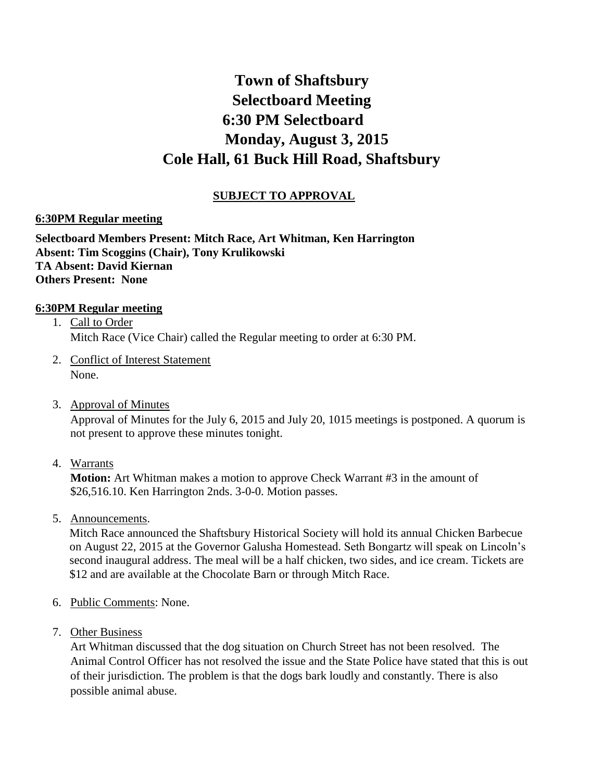## **Town of Shaftsbury Selectboard Meeting 6:30 PM Selectboard Monday, August 3, 2015 Cole Hall, 61 Buck Hill Road, Shaftsbury**

## **SUBJECT TO APPROVAL**

## **6:30PM Regular meeting**

**Selectboard Members Present: Mitch Race, Art Whitman, Ken Harrington Absent: Tim Scoggins (Chair), Tony Krulikowski TA Absent: David Kiernan Others Present: None**

## **6:30PM Regular meeting**

- 1. Call to Order Mitch Race (Vice Chair) called the Regular meeting to order at 6:30 PM.
- 2. Conflict of Interest Statement None.
- 3. Approval of Minutes

Approval of Minutes for the July 6, 2015 and July 20, 1015 meetings is postponed. A quorum is not present to approve these minutes tonight.

4. Warrants

**Motion:** Art Whitman makes a motion to approve Check Warrant #3 in the amount of \$26,516.10. Ken Harrington 2nds. 3-0-0. Motion passes.

5. Announcements.

Mitch Race announced the Shaftsbury Historical Society will hold its annual Chicken Barbecue on August 22, 2015 at the Governor Galusha Homestead. Seth Bongartz will speak on Lincoln's second inaugural address. The meal will be a half chicken, two sides, and ice cream. Tickets are \$12 and are available at the Chocolate Barn or through Mitch Race.

- 6. Public Comments: None.
- 7. Other Business

Art Whitman discussed that the dog situation on Church Street has not been resolved. The Animal Control Officer has not resolved the issue and the State Police have stated that this is out of their jurisdiction. The problem is that the dogs bark loudly and constantly. There is also possible animal abuse.